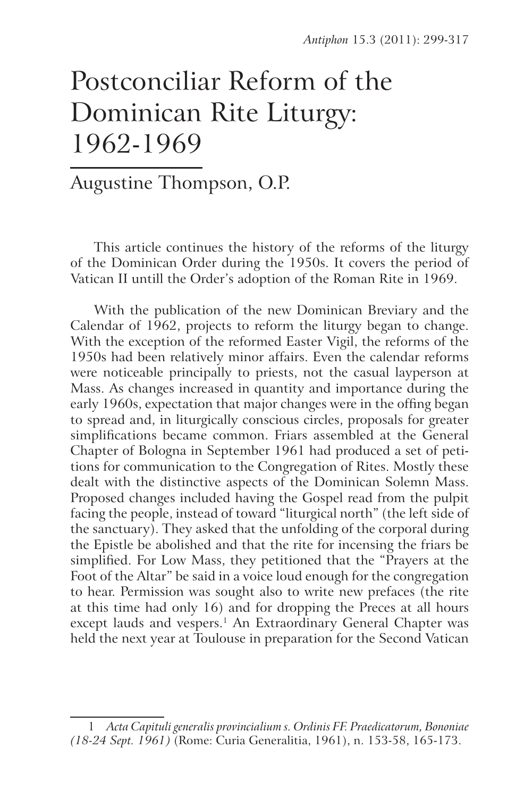# Postconciliar Reform of the Dominican Rite Liturgy: 1962-1969

# Augustine Thompson, O.P.

This article continues the history of the reforms of the liturgy of the Dominican Order during the 1950s. It covers the period of Vatican II untill the Order's adoption of the Roman Rite in 1969.

With the publication of the new Dominican Breviary and the Calendar of 1962, projects to reform the liturgy began to change. With the exception of the reformed Easter Vigil, the reforms of the 1950s had been relatively minor affairs. Even the calendar reforms were noticeable principally to priests, not the casual layperson at Mass. As changes increased in quantity and importance during the early 1960s, expectation that major changes were in the offing began to spread and, in liturgically conscious circles, proposals for greater simplifications became common. Friars assembled at the General Chapter of Bologna in September 1961 had produced a set of petitions for communication to the Congregation of Rites. Mostly these dealt with the distinctive aspects of the Dominican Solemn Mass. Proposed changes included having the Gospel read from the pulpit facing the people, instead of toward "liturgical north" (the left side of the sanctuary). They asked that the unfolding of the corporal during the Epistle be abolished and that the rite for incensing the friars be simplified. For Low Mass, they petitioned that the "Prayers at the Foot of the Altar" be said in a voice loud enough for the congregation to hear. Permission was sought also to write new prefaces (the rite at this time had only 16) and for dropping the Preces at all hours except lauds and vespers.<sup>1</sup> An Extraordinary General Chapter was held the next year at Toulouse in preparation for the Second Vatican

<sup>1</sup> *Acta Capituli generalis provincialium s. Ordinis FF. Praedicatorum, Bononiae (18-24 Sept. 1961)* (Rome: Curia Generalitia, 1961), n. 153-58, 165-173.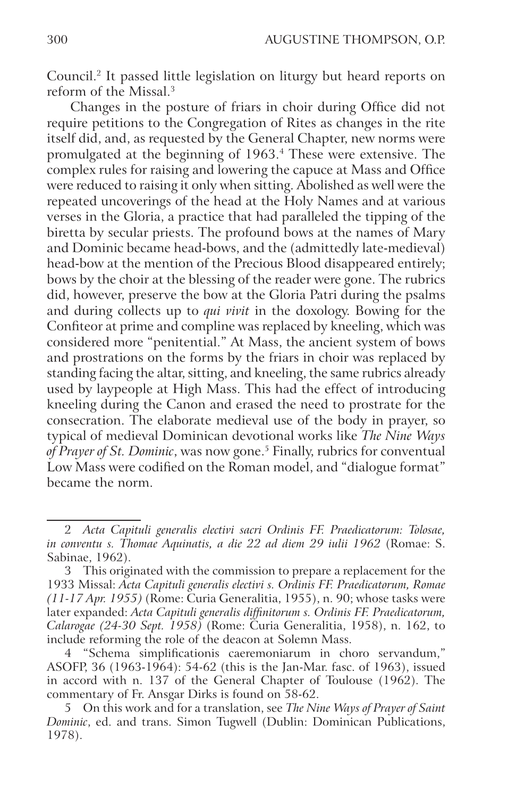Council.2 It passed little legislation on liturgy but heard reports on reform of the Missal.3

Changes in the posture of friars in choir during Office did not require petitions to the Congregation of Rites as changes in the rite itself did, and, as requested by the General Chapter, new norms were promulgated at the beginning of 1963.4 These were extensive. The complex rules for raising and lowering the capuce at Mass and Office were reduced to raising it only when sitting. Abolished as well were the repeated uncoverings of the head at the Holy Names and at various verses in the Gloria, a practice that had paralleled the tipping of the biretta by secular priests. The profound bows at the names of Mary and Dominic became head-bows, and the (admittedly late-medieval) head-bow at the mention of the Precious Blood disappeared entirely; bows by the choir at the blessing of the reader were gone. The rubrics did, however, preserve the bow at the Gloria Patri during the psalms and during collects up to *qui vivit* in the doxology. Bowing for the Confiteor at prime and compline was replaced by kneeling, which was considered more "penitential." At Mass, the ancient system of bows and prostrations on the forms by the friars in choir was replaced by standing facing the altar, sitting, and kneeling, the same rubrics already used by laypeople at High Mass. This had the effect of introducing kneeling during the Canon and erased the need to prostrate for the consecration. The elaborate medieval use of the body in prayer, so typical of medieval Dominican devotional works like *The Nine Ways of Prayer of St. Dominic*, was now gone.5 Finally, rubrics for conventual Low Mass were codified on the Roman model, and "dialogue format" became the norm.

<sup>2</sup> *Acta Capituli generalis electivi sacri Ordinis FF. Praedicatorum: Tolosae, in conventu s. Thomae Aquinatis, a die 22 ad diem 29 iulii 1962* (Romae: S. Sabinae, 1962).

<sup>3</sup> This originated with the commission to prepare a replacement for the 1933 Missal: *Acta Capituli generalis electivi s. Ordinis FF. Praedicatorum, Romae (11-17 Apr. 1955)* (Rome: Curia Generalitia, 1955), n. 90; whose tasks were later expanded: *Acta Capituli generalis diffinitorum s. Ordinis FF. Praedicatorum, Calarogae (24-30 Sept. 1958)* (Rome: Curia Generalitia, 1958), n. 162, to include reforming the role of the deacon at Solemn Mass.

<sup>4</sup> "Schema simplificationis caeremoniarum in choro servandum," ASOFP, 36 (1963-1964): 54-62 (this is the Jan-Mar. fasc. of 1963), issued in accord with n. 137 of the General Chapter of Toulouse (1962). The commentary of Fr. Ansgar Dirks is found on 58-62.

<sup>5</sup> On this work and for a translation, see *The Nine Ways of Prayer of Saint Dominic*, ed. and trans. Simon Tugwell (Dublin: Dominican Publications, 1978).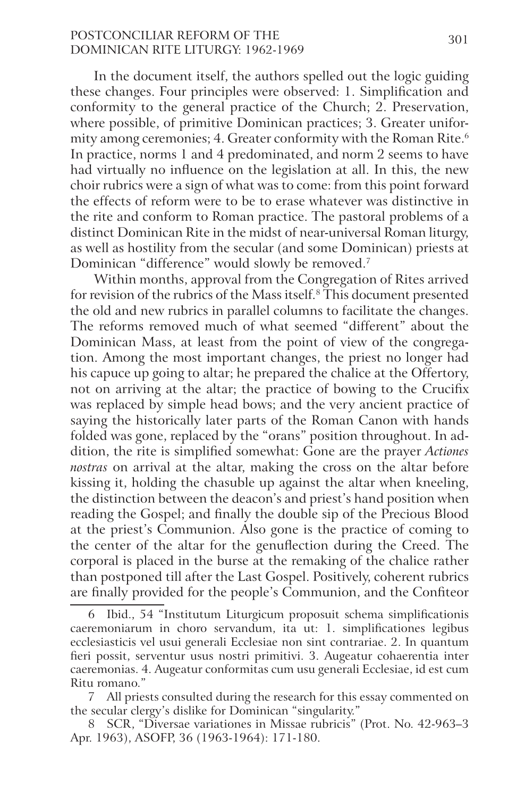# POSTCONCILIAR REFORM OF THE 301 Dominican Rite Liturgy: 1962‑1969

In the document itself, the authors spelled out the logic guiding these changes. Four principles were observed: 1. Simplification and conformity to the general practice of the Church; 2. Preservation, where possible, of primitive Dominican practices; 3. Greater uniformity among ceremonies; 4. Greater conformity with the Roman Rite.<sup>6</sup> In practice, norms 1 and 4 predominated, and norm 2 seems to have had virtually no influence on the legislation at all. In this, the new choir rubrics were a sign of what was to come: from this point forward the effects of reform were to be to erase whatever was distinctive in the rite and conform to Roman practice. The pastoral problems of a distinct Dominican Rite in the midst of near-universal Roman liturgy, as well as hostility from the secular (and some Dominican) priests at Dominican "difference" would slowly be removed.7

Within months, approval from the Congregation of Rites arrived for revision of the rubrics of the Mass itself.<sup>8</sup> This document presented the old and new rubrics in parallel columns to facilitate the changes. The reforms removed much of what seemed "different" about the Dominican Mass, at least from the point of view of the congregation. Among the most important changes, the priest no longer had his capuce up going to altar; he prepared the chalice at the Offertory, not on arriving at the altar; the practice of bowing to the Crucifix was replaced by simple head bows; and the very ancient practice of saying the historically later parts of the Roman Canon with hands folded was gone, replaced by the "orans" position throughout. In addition, the rite is simplified somewhat: Gone are the prayer *Actiones nostras* on arrival at the altar, making the cross on the altar before kissing it, holding the chasuble up against the altar when kneeling, the distinction between the deacon's and priest's hand position when reading the Gospel; and finally the double sip of the Precious Blood at the priest's Communion. Also gone is the practice of coming to the center of the altar for the genuflection during the Creed. The corporal is placed in the burse at the remaking of the chalice rather than postponed till after the Last Gospel. Positively, coherent rubrics are finally provided for the people's Communion, and the Confiteor

<sup>6</sup> Ibid., 54 "Institutum Liturgicum proposuit schema simplificationis caeremoniarum in choro servandum, ita ut: 1. simplificationes legibus ecclesiasticis vel usui generali Ecclesiae non sint contrariae. 2. In quantum fieri possit, serventur usus nostri primitivi. 3. Augeatur cohaerentia inter caeremonias. 4. Augeatur conformitas cum usu generali Ecclesiae, id est cum Ritu romano."

<sup>7</sup> All priests consulted during the research for this essay commented on the secular clergy's dislike for Dominican "singularity."

<sup>8</sup> SCR, "Diversae variationes in Missae rubricis" (Prot. No. 42-963–3 Apr. 1963), ASOFP, 36 (1963-1964): 171-180.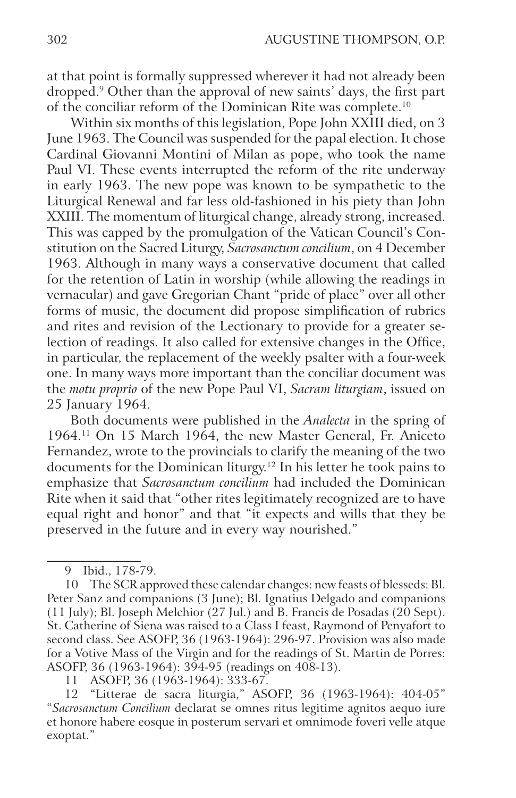at that point is formally suppressed wherever it had not already been dropped.9 Other than the approval of new saints' days, the first part of the conciliar reform of the Dominican Rite was complete.10

Within six months of this legislation, Pope John XXIII died, on 3 June 1963. The Council was suspended for the papal election. It chose Cardinal Giovanni Montini of Milan as pope, who took the name Paul VI. These events interrupted the reform of the rite underway in early 1963. The new pope was known to be sympathetic to the Liturgical Renewal and far less old-fashioned in his piety than John XXIII. The momentum of liturgical change, already strong, increased. This was capped by the promulgation of the Vatican Council's Constitution on the Sacred Liturgy, *Sacrosanctum concilium*, on 4 December 1963. Although in many ways a conservative document that called for the retention of Latin in worship (while allowing the readings in vernacular) and gave Gregorian Chant "pride of place" over all other forms of music, the document did propose simplification of rubrics and rites and revision of the Lectionary to provide for a greater selection of readings. It also called for extensive changes in the Office, in particular, the replacement of the weekly psalter with a four-week one. In many ways more important than the conciliar document was the *motu proprio* of the new Pope Paul VI, *Sacram liturgiam*, issued on 25 January 1964.

Both documents were published in the *Analecta* in the spring of 1964.11 On 15 March 1964, the new Master General, Fr. Aniceto Fernandez, wrote to the provincials to clarify the meaning of the two documents for the Dominican liturgy.12 In his letter he took pains to emphasize that *Sacrosanctum concilium* had included the Dominican Rite when it said that "other rites legitimately recognized are to have equal right and honor" and that "it expects and wills that they be preserved in the future and in every way nourished."

11 ASOFP, 36 (1963-1964): 333-67.

<sup>9</sup> Ibid., 178-79.

<sup>10</sup> The SCR approved these calendar changes: new feasts of blesseds: Bl. Peter Sanz and companions (3 June); Bl. Ignatius Delgado and companions (11 July); Bl. Joseph Melchior (27 Jul.) and B. Francis de Posadas (20 Sept). St. Catherine of Siena was raised to a Class I feast, Raymond of Penyafort to second class. See ASOFP, 36 (1963-1964): 296-97. Provision was also made for a Votive Mass of the Virgin and for the readings of St. Martin de Porres: ASOFP, 36 (1963-1964): 394-95 (readings on 408-13).

<sup>12</sup> "Litterae de sacra liturgia," ASOFP, 36 (1963-1964): 404-05" "*Sacrosanctum Concilium* declarat se omnes ritus legitime agnitos aequo iure et honore habere eosque in posterum servari et omnimode foveri velle atque exoptat."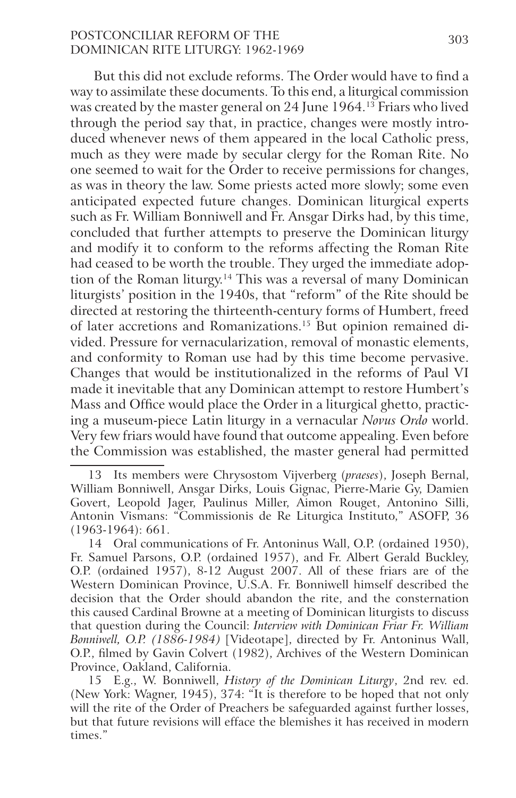# POSTCONCILIAR REFORM OF THE 303 Dominican Rite Liturgy: 1962‑1969

But this did not exclude reforms. The Order would have to find a way to assimilate these documents. To this end, a liturgical commission was created by the master general on 24 June 1964.<sup>13</sup> Friars who lived through the period say that, in practice, changes were mostly introduced whenever news of them appeared in the local Catholic press, much as they were made by secular clergy for the Roman Rite. No one seemed to wait for the Order to receive permissions for changes, as was in theory the law. Some priests acted more slowly; some even anticipated expected future changes. Dominican liturgical experts such as Fr. William Bonniwell and Fr. Ansgar Dirks had, by this time, concluded that further attempts to preserve the Dominican liturgy and modify it to conform to the reforms affecting the Roman Rite had ceased to be worth the trouble. They urged the immediate adoption of the Roman liturgy.<sup>14</sup> This was a reversal of many Dominican liturgists' position in the 1940s, that "reform" of the Rite should be directed at restoring the thirteenth-century forms of Humbert, freed of later accretions and Romanizations.15 But opinion remained divided. Pressure for vernacularization, removal of monastic elements, and conformity to Roman use had by this time become pervasive. Changes that would be institutionalized in the reforms of Paul VI made it inevitable that any Dominican attempt to restore Humbert's Mass and Office would place the Order in a liturgical ghetto, practicing a museum-piece Latin liturgy in a vernacular *Novus Ordo* world. Very few friars would have found that outcome appealing. Even before the Commission was established, the master general had permitted

<sup>13</sup> Its members were Chrysostom Vijverberg (*praeses*), Joseph Bernal, William Bonniwell, Ansgar Dirks, Louis Gignac, Pierre-Marie Gy, Damien Govert, Leopold Jager, Paulinus Miller, Aimon Rouget, Antonino Silli, Antonin Vismans: "Commissionis de Re Liturgica Instituto," ASOFP, 36 (1963-1964): 661.

<sup>14</sup> Oral communications of Fr. Antoninus Wall, O.P. (ordained 1950), Fr. Samuel Parsons, O.P. (ordained 1957), and Fr. Albert Gerald Buckley, O.P. (ordained 1957), 8-12 August 2007. All of these friars are of the Western Dominican Province, U.S.A. Fr. Bonniwell himself described the decision that the Order should abandon the rite, and the consternation this caused Cardinal Browne at a meeting of Dominican liturgists to discuss that question during the Council: *Interview with Dominican Friar Fr. William Bonniwell, O.P. (1886-1984)* [Videotape], directed by Fr. Antoninus Wall, O.P., filmed by Gavin Colvert (1982), Archives of the Western Dominican Province, Oakland, California.

<sup>15</sup> E.g., W. Bonniwell, *History of the Dominican Liturgy*, 2nd rev. ed. (New York: Wagner, 1945), 374: "It is therefore to be hoped that not only will the rite of the Order of Preachers be safeguarded against further losses, but that future revisions will efface the blemishes it has received in modern times."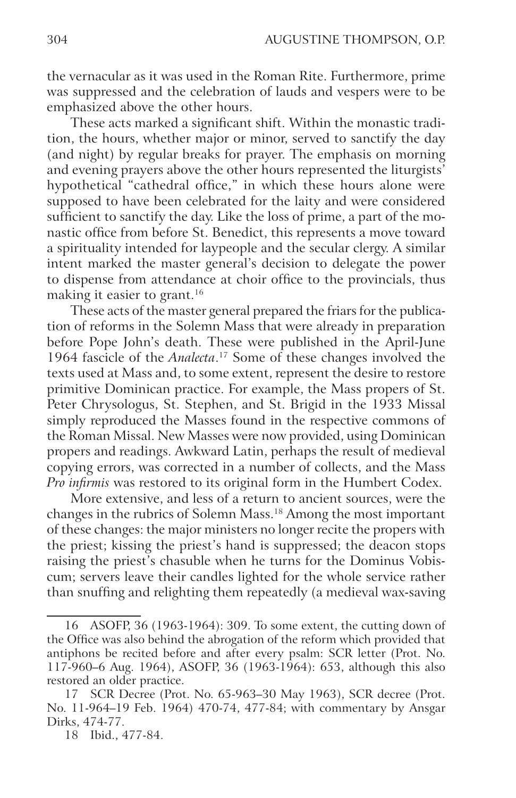the vernacular as it was used in the Roman Rite. Furthermore, prime was suppressed and the celebration of lauds and vespers were to be emphasized above the other hours.

These acts marked a significant shift. Within the monastic tradition, the hours, whether major or minor, served to sanctify the day (and night) by regular breaks for prayer. The emphasis on morning and evening prayers above the other hours represented the liturgists' hypothetical "cathedral office," in which these hours alone were supposed to have been celebrated for the laity and were considered sufficient to sanctify the day. Like the loss of prime, a part of the monastic office from before St. Benedict, this represents a move toward a spirituality intended for laypeople and the secular clergy. A similar intent marked the master general's decision to delegate the power to dispense from attendance at choir office to the provincials, thus making it easier to grant.<sup>16</sup>

These acts of the master general prepared the friars for the publication of reforms in the Solemn Mass that were already in preparation before Pope John's death. These were published in the April-June 1964 fascicle of the *Analecta*. 17 Some of these changes involved the texts used at Mass and, to some extent, represent the desire to restore primitive Dominican practice. For example, the Mass propers of St. Peter Chrysologus, St. Stephen, and St. Brigid in the 1933 Missal simply reproduced the Masses found in the respective commons of the Roman Missal. New Masses were now provided, using Dominican propers and readings. Awkward Latin, perhaps the result of medieval copying errors, was corrected in a number of collects, and the Mass *Pro infirmis* was restored to its original form in the Humbert Codex.

More extensive, and less of a return to ancient sources, were the changes in the rubrics of Solemn Mass.18 Among the most important of these changes: the major ministers no longer recite the propers with the priest; kissing the priest's hand is suppressed; the deacon stops raising the priest's chasuble when he turns for the Dominus Vobiscum; servers leave their candles lighted for the whole service rather than snuffing and relighting them repeatedly (a medieval wax-saving

<sup>16</sup> ASOFP, 36 (1963-1964): 309. To some extent, the cutting down of the Office was also behind the abrogation of the reform which provided that antiphons be recited before and after every psalm: SCR letter (Prot. No. 117-960–6 Aug. 1964), ASOFP, 36 (1963-1964): 653, although this also restored an older practice.

<sup>17</sup> SCR Decree (Prot. No. 65-963–30 May 1963), SCR decree (Prot. No. 11-964–19 Feb. 1964) 470-74, 477-84; with commentary by Ansgar Dirks, 474-77.

<sup>18</sup> Ibid., 477-84.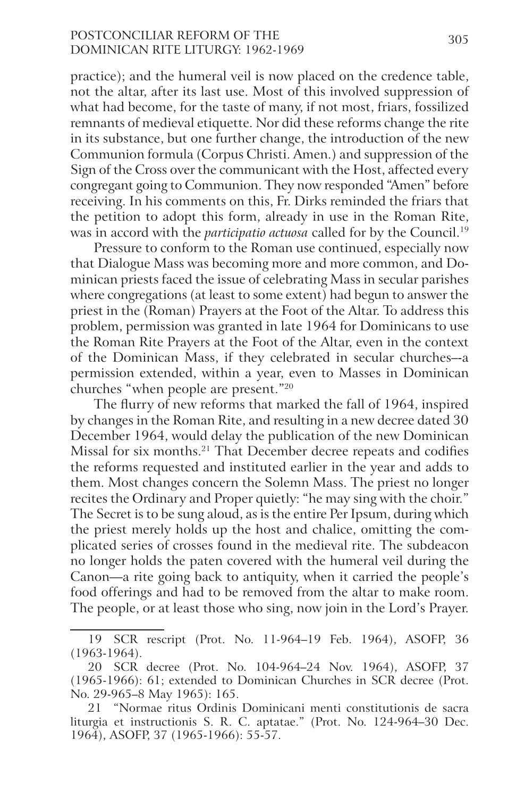# POSTCONCILIAR REFORM OF THE 305 Dominican Rite Liturgy: 1962‑1969

practice); and the humeral veil is now placed on the credence table, not the altar, after its last use. Most of this involved suppression of what had become, for the taste of many, if not most, friars, fossilized remnants of medieval etiquette. Nor did these reforms change the rite in its substance, but one further change, the introduction of the new Communion formula (Corpus Christi. Amen.) and suppression of the Sign of the Cross over the communicant with the Host, affected every congregant going to Communion. They now responded "Amen" before receiving. In his comments on this, Fr. Dirks reminded the friars that the petition to adopt this form, already in use in the Roman Rite, was in accord with the *participatio actuosa* called for by the Council.19

Pressure to conform to the Roman use continued, especially now that Dialogue Mass was becoming more and more common, and Dominican priests faced the issue of celebrating Mass in secular parishes where congregations (at least to some extent) had begun to answer the priest in the (Roman) Prayers at the Foot of the Altar. To address this problem, permission was granted in late 1964 for Dominicans to use the Roman Rite Prayers at the Foot of the Altar, even in the context of the Dominican Mass, if they celebrated in secular churches–-a permission extended, within a year, even to Masses in Dominican churches "when people are present."20

The flurry of new reforms that marked the fall of 1964, inspired by changes in the Roman Rite, and resulting in a new decree dated 30 December 1964, would delay the publication of the new Dominican Missal for six months.21 That December decree repeats and codifies the reforms requested and instituted earlier in the year and adds to them. Most changes concern the Solemn Mass. The priest no longer recites the Ordinary and Proper quietly: "he may sing with the choir." The Secret is to be sung aloud, as is the entire Per Ipsum, during which the priest merely holds up the host and chalice, omitting the complicated series of crosses found in the medieval rite. The subdeacon no longer holds the paten covered with the humeral veil during the Canon—a rite going back to antiquity, when it carried the people's food offerings and had to be removed from the altar to make room. The people, or at least those who sing, now join in the Lord's Prayer.

<sup>19</sup> SCR rescript (Prot. No. 11-964–19 Feb. 1964), ASOFP, 36 (1963-1964).

<sup>20</sup> SCR decree (Prot. No. 104-964–24 Nov. 1964), ASOFP, 37 (1965-1966): 61; extended to Dominican Churches in SCR decree (Prot. No. 29-965–8 May 1965): 165.

<sup>21</sup> "Normae ritus Ordinis Dominicani menti constitutionis de sacra liturgia et instructionis S. R. C. aptatae." (Prot. No. 124-964–30 Dec. 1964), ASOFP, 37 (1965-1966): 55-57.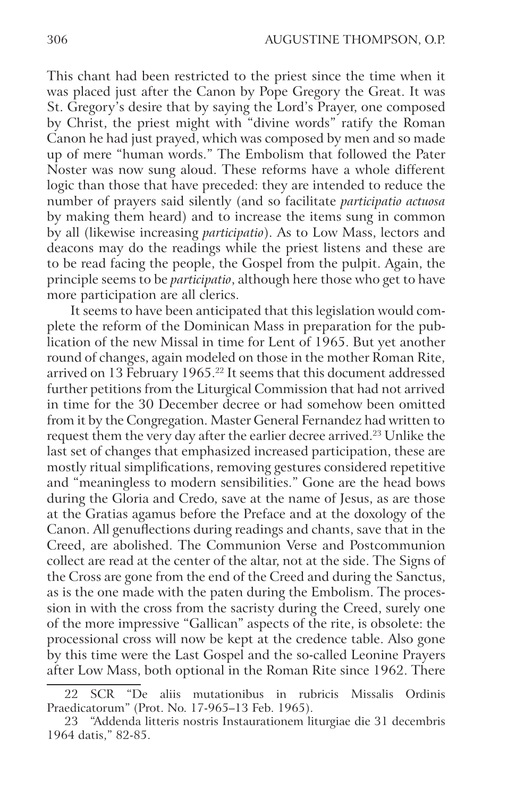This chant had been restricted to the priest since the time when it was placed just after the Canon by Pope Gregory the Great. It was St. Gregory's desire that by saying the Lord's Prayer, one composed by Christ, the priest might with "divine words" ratify the Roman Canon he had just prayed, which was composed by men and so made up of mere "human words." The Embolism that followed the Pater Noster was now sung aloud. These reforms have a whole different logic than those that have preceded: they are intended to reduce the number of prayers said silently (and so facilitate *participatio actuosa* by making them heard) and to increase the items sung in common by all (likewise increasing *participatio*). As to Low Mass, lectors and deacons may do the readings while the priest listens and these are to be read facing the people, the Gospel from the pulpit. Again, the principle seems to be *participatio*, although here those who get to have more participation are all clerics.

It seems to have been anticipated that this legislation would complete the reform of the Dominican Mass in preparation for the publication of the new Missal in time for Lent of 1965. But yet another round of changes, again modeled on those in the mother Roman Rite, arrived on 13 February 1965.22 It seems that this document addressed further petitions from the Liturgical Commission that had not arrived in time for the 30 December decree or had somehow been omitted from it by the Congregation. Master General Fernandez had written to request them the very day after the earlier decree arrived.23 Unlike the last set of changes that emphasized increased participation, these are mostly ritual simplifications, removing gestures considered repetitive and "meaningless to modern sensibilities." Gone are the head bows during the Gloria and Credo, save at the name of Jesus, as are those at the Gratias agamus before the Preface and at the doxology of the Canon. All genuflections during readings and chants, save that in the Creed, are abolished. The Communion Verse and Postcommunion collect are read at the center of the altar, not at the side. The Signs of the Cross are gone from the end of the Creed and during the Sanctus, as is the one made with the paten during the Embolism. The procession in with the cross from the sacristy during the Creed, surely one of the more impressive "Gallican" aspects of the rite, is obsolete: the processional cross will now be kept at the credence table. Also gone by this time were the Last Gospel and the so-called Leonine Prayers after Low Mass, both optional in the Roman Rite since 1962. There

<sup>22</sup> SCR "De aliis mutationibus in rubricis Missalis Ordinis Praedicatorum" (Prot. No. 17-965–13 Feb. 1965).

<sup>23</sup> "Addenda litteris nostris Instaurationem liturgiae die 31 decembris 1964 datis," 82-85.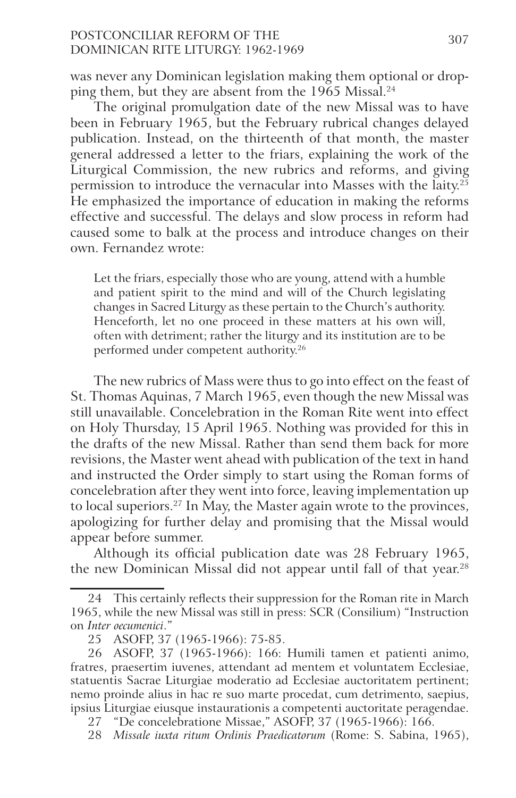# POSTCONCILIAR REFORM OF THE 307 Dominican Rite Liturgy: 1962‑1969

was never any Dominican legislation making them optional or dropping them, but they are absent from the 1965 Missal.<sup>24</sup>

The original promulgation date of the new Missal was to have been in February 1965, but the February rubrical changes delayed publication. Instead, on the thirteenth of that month, the master general addressed a letter to the friars, explaining the work of the Liturgical Commission, the new rubrics and reforms, and giving permission to introduce the vernacular into Masses with the laity. $2^{\frac{3}{2}}$ He emphasized the importance of education in making the reforms effective and successful. The delays and slow process in reform had caused some to balk at the process and introduce changes on their own. Fernandez wrote:

Let the friars, especially those who are young, attend with a humble and patient spirit to the mind and will of the Church legislating changes in Sacred Liturgy as these pertain to the Church's authority. Henceforth, let no one proceed in these matters at his own will, often with detriment; rather the liturgy and its institution are to be performed under competent authority.26

The new rubrics of Mass were thus to go into effect on the feast of St. Thomas Aquinas, 7 March 1965, even though the new Missal was still unavailable. Concelebration in the Roman Rite went into effect on Holy Thursday, 15 April 1965. Nothing was provided for this in the drafts of the new Missal. Rather than send them back for more revisions, the Master went ahead with publication of the text in hand and instructed the Order simply to start using the Roman forms of concelebration after they went into force, leaving implementation up to local superiors.27 In May, the Master again wrote to the provinces, apologizing for further delay and promising that the Missal would appear before summer.

Although its official publication date was 28 February 1965, the new Dominican Missal did not appear until fall of that year.<sup>28</sup>

28 *Missale iuxta ritum Ordinis Praedicatorum* (Rome: S. Sabina, 1965),

<sup>24</sup> This certainly reflects their suppression for the Roman rite in March 1965, while the new Missal was still in press: SCR (Consilium) "Instruction on *Inter oecumenici*."

<sup>25</sup> ASOFP, 37 (1965-1966): 75-85.

<sup>26</sup> ASOFP, 37 (1965-1966): 166: Humili tamen et patienti animo, fratres, praesertim iuvenes, attendant ad mentem et voluntatem Ecclesiae, statuentis Sacrae Liturgiae moderatio ad Ecclesiae auctoritatem pertinent; nemo proinde alius in hac re suo marte procedat, cum detrimento, saepius, ipsius Liturgiae eiusque instaurationis a competenti auctoritate peragendae.

<sup>27</sup> "De concelebratione Missae," ASOFP, 37 (1965-1966): 166.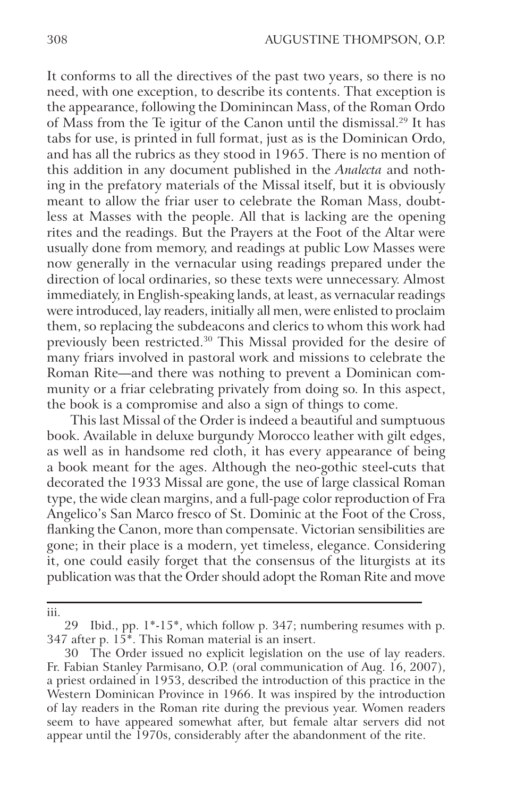It conforms to all the directives of the past two years, so there is no need, with one exception, to describe its contents. That exception is the appearance, following the Dominincan Mass, of the Roman Ordo of Mass from the Te igitur of the Canon until the dismissal.29 It has tabs for use, is printed in full format, just as is the Dominican Ordo, and has all the rubrics as they stood in 1965. There is no mention of this addition in any document published in the *Analecta* and nothing in the prefatory materials of the Missal itself, but it is obviously meant to allow the friar user to celebrate the Roman Mass, doubtless at Masses with the people. All that is lacking are the opening rites and the readings. But the Prayers at the Foot of the Altar were usually done from memory, and readings at public Low Masses were now generally in the vernacular using readings prepared under the direction of local ordinaries, so these texts were unnecessary. Almost immediately, in English-speaking lands, at least, as vernacular readings were introduced, lay readers, initially all men, were enlisted to proclaim them, so replacing the subdeacons and clerics to whom this work had previously been restricted.<sup>30</sup> This Missal provided for the desire of many friars involved in pastoral work and missions to celebrate the Roman Rite—and there was nothing to prevent a Dominican community or a friar celebrating privately from doing so. In this aspect, the book is a compromise and also a sign of things to come.

This last Missal of the Order is indeed a beautiful and sumptuous book. Available in deluxe burgundy Morocco leather with gilt edges, as well as in handsome red cloth, it has every appearance of being a book meant for the ages. Although the neo-gothic steel-cuts that decorated the 1933 Missal are gone, the use of large classical Roman type, the wide clean margins, and a full-page color reproduction of Fra Angelico's San Marco fresco of St. Dominic at the Foot of the Cross, flanking the Canon, more than compensate. Victorian sensibilities are gone; in their place is a modern, yet timeless, elegance. Considering it, one could easily forget that the consensus of the liturgists at its publication was that the Order should adopt the Roman Rite and move

iii.

<sup>29</sup> Ibid., pp. 1\*-15\*, which follow p. 347; numbering resumes with p. 347 after p.  $15^*$ . This Roman material is an insert.

<sup>30</sup> The Order issued no explicit legislation on the use of lay readers. Fr. Fabian Stanley Parmisano, O.P. (oral communication of Aug. 16, 2007), a priest ordained in 1953, described the introduction of this practice in the Western Dominican Province in 1966. It was inspired by the introduction of lay readers in the Roman rite during the previous year. Women readers seem to have appeared somewhat after, but female altar servers did not appear until the 1970s, considerably after the abandonment of the rite.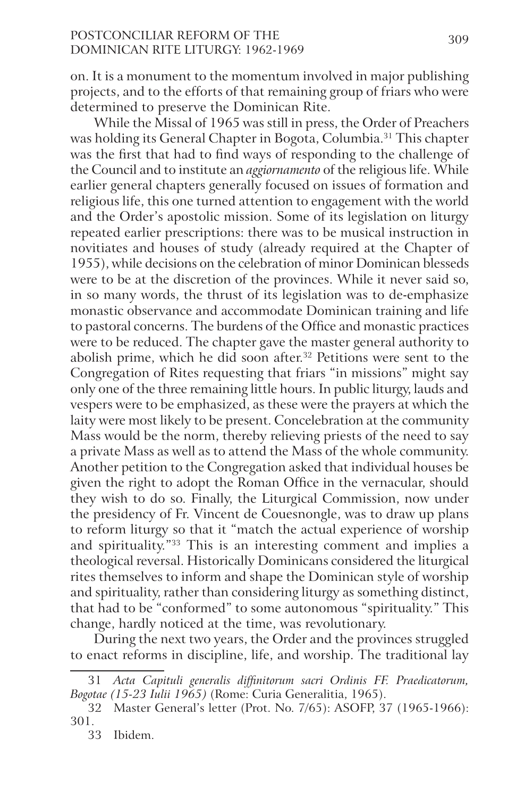# POSTCONCILIAR REFORM OF THE 309 Dominican Rite Liturgy: 1962‑1969

on. It is a monument to the momentum involved in major publishing projects, and to the efforts of that remaining group of friars who were determined to preserve the Dominican Rite.

While the Missal of 1965 was still in press, the Order of Preachers was holding its General Chapter in Bogota, Columbia.<sup>31</sup> This chapter was the first that had to find ways of responding to the challenge of the Council and to institute an *aggiornamento* of the religious life. While earlier general chapters generally focused on issues of formation and religious life, this one turned attention to engagement with the world and the Order's apostolic mission. Some of its legislation on liturgy repeated earlier prescriptions: there was to be musical instruction in novitiates and houses of study (already required at the Chapter of 1955), while decisions on the celebration of minor Dominican blesseds were to be at the discretion of the provinces. While it never said so, in so many words, the thrust of its legislation was to de-emphasize monastic observance and accommodate Dominican training and life to pastoral concerns. The burdens of the Office and monastic practices were to be reduced. The chapter gave the master general authority to abolish prime, which he did soon after.<sup>32</sup> Petitions were sent to the Congregation of Rites requesting that friars "in missions" might say only one of the three remaining little hours. In public liturgy, lauds and vespers were to be emphasized, as these were the prayers at which the laity were most likely to be present. Concelebration at the community Mass would be the norm, thereby relieving priests of the need to say a private Mass as well as to attend the Mass of the whole community. Another petition to the Congregation asked that individual houses be given the right to adopt the Roman Office in the vernacular, should they wish to do so. Finally, the Liturgical Commission, now under the presidency of Fr. Vincent de Couesnongle, was to draw up plans to reform liturgy so that it "match the actual experience of worship and spirituality."33 This is an interesting comment and implies a theological reversal. Historically Dominicans considered the liturgical rites themselves to inform and shape the Dominican style of worship and spirituality, rather than considering liturgy as something distinct, that had to be "conformed" to some autonomous "spirituality." This change, hardly noticed at the time, was revolutionary.

During the next two years, the Order and the provinces struggled to enact reforms in discipline, life, and worship. The traditional lay

<sup>31</sup> *Acta Capituli generalis diffinitorum sacri Ordinis FF. Praedicatorum, Bogotae (15-23 Iulii 1965)* (Rome: Curia Generalitia, 1965).

<sup>32</sup> Master General's letter (Prot. No. 7/65): ASOFP, 37 (1965-1966): 301.

<sup>33</sup> Ibidem.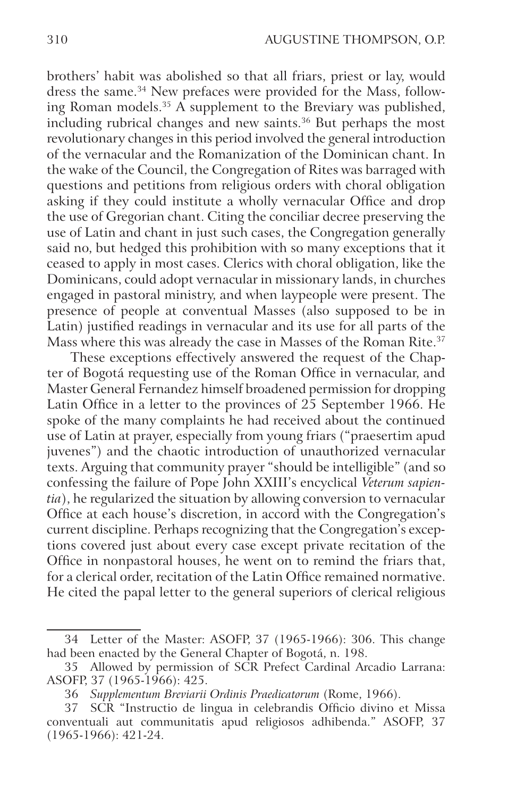brothers' habit was abolished so that all friars, priest or lay, would dress the same.<sup>34</sup> New prefaces were provided for the Mass, following Roman models.<sup>35</sup> A supplement to the Breviary was published, including rubrical changes and new saints.<sup>36</sup> But perhaps the most revolutionary changes in this period involved the general introduction of the vernacular and the Romanization of the Dominican chant. In the wake of the Council, the Congregation of Rites was barraged with questions and petitions from religious orders with choral obligation asking if they could institute a wholly vernacular Office and drop the use of Gregorian chant. Citing the conciliar decree preserving the use of Latin and chant in just such cases, the Congregation generally said no, but hedged this prohibition with so many exceptions that it ceased to apply in most cases. Clerics with choral obligation, like the Dominicans, could adopt vernacular in missionary lands, in churches engaged in pastoral ministry, and when laypeople were present. The presence of people at conventual Masses (also supposed to be in Latin) justified readings in vernacular and its use for all parts of the Mass where this was already the case in Masses of the Roman Rite.<sup>37</sup>

These exceptions effectively answered the request of the Chapter of Bogotá requesting use of the Roman Office in vernacular, and Master General Fernandez himself broadened permission for dropping Latin Office in a letter to the provinces of 25 September 1966. He spoke of the many complaints he had received about the continued use of Latin at prayer, especially from young friars ("praesertim apud juvenes") and the chaotic introduction of unauthorized vernacular texts. Arguing that community prayer "should be intelligible" (and so confessing the failure of Pope John XXIII's encyclical *Veterum sapientia*), he regularized the situation by allowing conversion to vernacular Office at each house's discretion, in accord with the Congregation's current discipline. Perhaps recognizing that the Congregation's exceptions covered just about every case except private recitation of the Office in nonpastoral houses, he went on to remind the friars that, for a clerical order, recitation of the Latin Office remained normative. He cited the papal letter to the general superiors of clerical religious

<sup>34</sup> Letter of the Master: ASOFP, 37 (1965-1966): 306. This change had been enacted by the General Chapter of Bogotá, n. 198.

<sup>35</sup> Allowed by permission of SCR Prefect Cardinal Arcadio Larrana: ASOFP, 37 (1965-1966): 425.

<sup>36</sup> *Supplementum Breviarii Ordinis Praedicatorum* (Rome, 1966).

<sup>37</sup> SCR "Instructio de lingua in celebrandis Officio divino et Missa conventuali aut communitatis apud religiosos adhibenda." ASOFP, 37 (1965-1966): 421-24.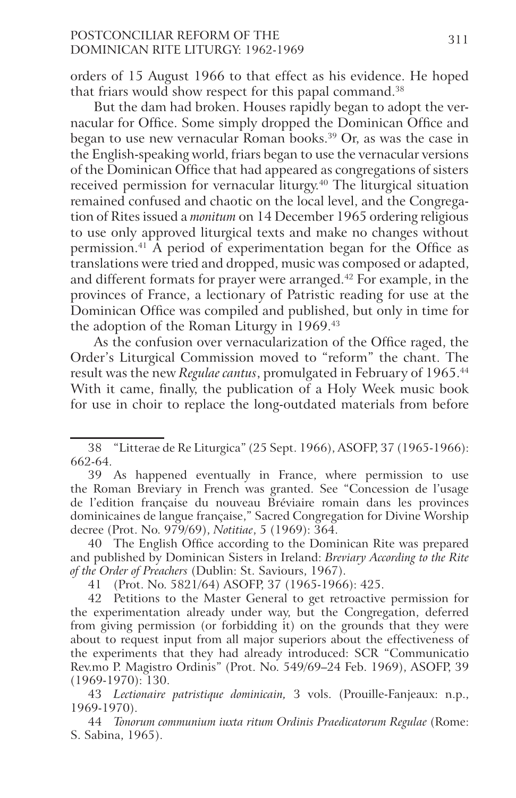### POSTCONCILIAR REFORM OF THE 311 Dominican Rite Liturgy: 1962‑1969

orders of 15 August 1966 to that effect as his evidence. He hoped that friars would show respect for this papal command.<sup>38</sup>

But the dam had broken. Houses rapidly began to adopt the vernacular for Office. Some simply dropped the Dominican Office and began to use new vernacular Roman books.39 Or, as was the case in the English-speaking world, friars began to use the vernacular versions of the Dominican Office that had appeared as congregations of sisters received permission for vernacular liturgy.40 The liturgical situation remained confused and chaotic on the local level, and the Congregation of Rites issued a *monitum* on 14 December 1965 ordering religious to use only approved liturgical texts and make no changes without permission.41 A period of experimentation began for the Office as translations were tried and dropped, music was composed or adapted, and different formats for prayer were arranged.42 For example, in the provinces of France, a lectionary of Patristic reading for use at the Dominican Office was compiled and published, but only in time for the adoption of the Roman Liturgy in 1969.<sup>43</sup>

As the confusion over vernacularization of the Office raged, the Order's Liturgical Commission moved to "reform" the chant. The result was the new *Regulae cantus*, promulgated in February of 1965.44 With it came, finally, the publication of a Holy Week music book for use in choir to replace the long-outdated materials from before

40 The English Office according to the Dominican Rite was prepared and published by Dominican Sisters in Ireland: *Breviary According to the Rite of the Order of Preachers* (Dublin: St. Saviours, 1967).

41 (Prot. No. 5821/64) ASOFP, 37 (1965-1966): 425.

42 Petitions to the Master General to get retroactive permission for the experimentation already under way, but the Congregation, deferred from giving permission (or forbidding it) on the grounds that they were about to request input from all major superiors about the effectiveness of the experiments that they had already introduced: SCR "Communicatio Rev.mo P. Magistro Ordinis" (Prot. No. 549/69–24 Feb. 1969), ASOFP, 39 (1969-1970): 130.

43 *Lectionaire patristique dominicain,* 3 vols. (Prouille-Fanjeaux: n.p., 1969-1970).

44 *Tonorum communium iuxta ritum Ordinis Praedicatorum Regulae* (Rome: S. Sabina, 1965).

<sup>38</sup> "Litterae de Re Liturgica" (25 Sept. 1966), ASOFP, 37 (1965-1966): 662-64.

<sup>39</sup> As happened eventually in France, where permission to use the Roman Breviary in French was granted. See "Concession de l'usage de l'edition française du nouveau Bréviaire romain dans les provinces dominicaines de langue française," Sacred Congregation for Divine Worship decree (Prot. No. 979/69), *Notitiae*, 5 (1969): 364.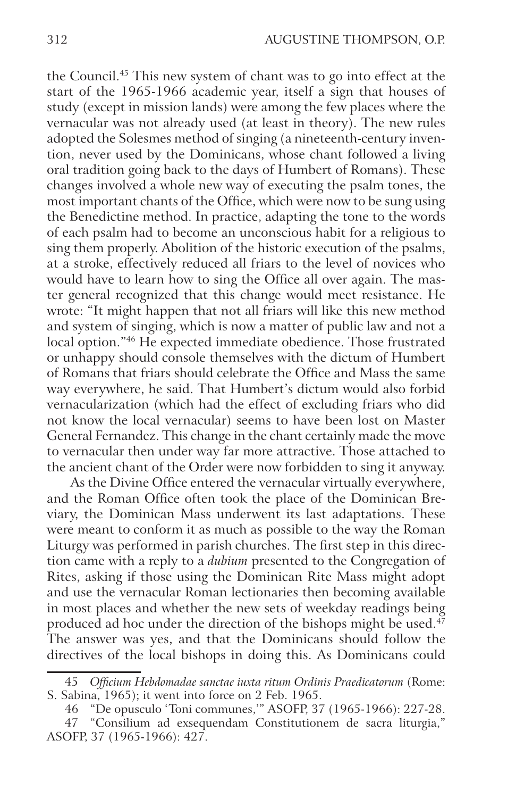the Council.45 This new system of chant was to go into effect at the start of the 1965-1966 academic year, itself a sign that houses of study (except in mission lands) were among the few places where the vernacular was not already used (at least in theory). The new rules adopted the Solesmes method of singing (a nineteenth-century invention, never used by the Dominicans, whose chant followed a living oral tradition going back to the days of Humbert of Romans). These changes involved a whole new way of executing the psalm tones, the most important chants of the Office, which were now to be sung using the Benedictine method. In practice, adapting the tone to the words of each psalm had to become an unconscious habit for a religious to sing them properly. Abolition of the historic execution of the psalms, at a stroke, effectively reduced all friars to the level of novices who would have to learn how to sing the Office all over again. The master general recognized that this change would meet resistance. He wrote: "It might happen that not all friars will like this new method and system of singing, which is now a matter of public law and not a local option."46 He expected immediate obedience. Those frustrated or unhappy should console themselves with the dictum of Humbert of Romans that friars should celebrate the Office and Mass the same way everywhere, he said. That Humbert's dictum would also forbid vernacularization (which had the effect of excluding friars who did not know the local vernacular) seems to have been lost on Master General Fernandez. This change in the chant certainly made the move to vernacular then under way far more attractive. Those attached to the ancient chant of the Order were now forbidden to sing it anyway.

As the Divine Office entered the vernacular virtually everywhere, and the Roman Office often took the place of the Dominican Breviary, the Dominican Mass underwent its last adaptations. These were meant to conform it as much as possible to the way the Roman Liturgy was performed in parish churches. The first step in this direction came with a reply to a *dubium* presented to the Congregation of Rites, asking if those using the Dominican Rite Mass might adopt and use the vernacular Roman lectionaries then becoming available in most places and whether the new sets of weekday readings being produced ad hoc under the direction of the bishops might be used.<sup>47</sup> The answer was yes, and that the Dominicans should follow the directives of the local bishops in doing this. As Dominicans could

<sup>45</sup> *Officium Hebdomadae sanctae iuxta ritum Ordinis Praedicatorum* (Rome: S. Sabina, 1965); it went into force on 2 Feb. 1965.

<sup>46</sup> "De opusculo 'Toni communes,'" ASOFP, 37 (1965-1966): 227-28. 47 "Consilium ad exsequendam Constitutionem de sacra liturgia," ASOFP, 37 (1965-1966): 427.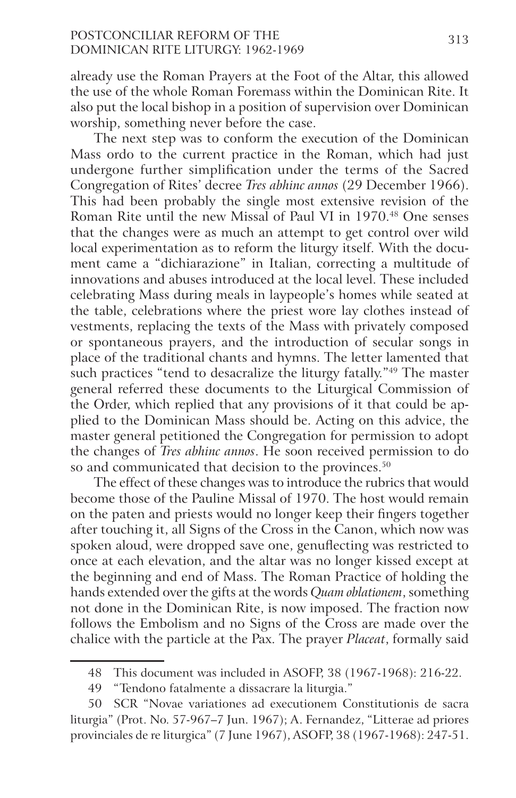# POSTCONCILIAR REFORM OF THE 313 Dominican Rite Liturgy: 1962‑1969

already use the Roman Prayers at the Foot of the Altar, this allowed the use of the whole Roman Foremass within the Dominican Rite. It also put the local bishop in a position of supervision over Dominican worship, something never before the case.

The next step was to conform the execution of the Dominican Mass ordo to the current practice in the Roman, which had just undergone further simplification under the terms of the Sacred Congregation of Rites' decree *Tres abhinc annos* (29 December 1966). This had been probably the single most extensive revision of the Roman Rite until the new Missal of Paul VI in 1970.<sup>48</sup> One senses that the changes were as much an attempt to get control over wild local experimentation as to reform the liturgy itself. With the document came a "dichiarazione" in Italian, correcting a multitude of innovations and abuses introduced at the local level. These included celebrating Mass during meals in laypeople's homes while seated at the table, celebrations where the priest wore lay clothes instead of vestments, replacing the texts of the Mass with privately composed or spontaneous prayers, and the introduction of secular songs in place of the traditional chants and hymns. The letter lamented that such practices "tend to desacralize the liturgy fatally."<sup>49</sup> The master general referred these documents to the Liturgical Commission of the Order, which replied that any provisions of it that could be applied to the Dominican Mass should be. Acting on this advice, the master general petitioned the Congregation for permission to adopt the changes of *Tres abhinc annos*. He soon received permission to do so and communicated that decision to the provinces.<sup>50</sup>

The effect of these changes was to introduce the rubrics that would become those of the Pauline Missal of 1970. The host would remain on the paten and priests would no longer keep their fingers together after touching it, all Signs of the Cross in the Canon, which now was spoken aloud, were dropped save one, genuflecting was restricted to once at each elevation, and the altar was no longer kissed except at the beginning and end of Mass. The Roman Practice of holding the hands extended over the gifts at the words *Quam oblationem*, something not done in the Dominican Rite, is now imposed. The fraction now follows the Embolism and no Signs of the Cross are made over the chalice with the particle at the Pax. The prayer *Placeat*, formally said

<sup>48</sup> This document was included in ASOFP, 38 (1967-1968): 216-22.

<sup>49</sup> "Tendono fatalmente a dissacrare la liturgia."

<sup>50</sup> SCR "Novae variationes ad executionem Constitutionis de sacra liturgia" (Prot. No. 57-967–7 Jun. 1967); A. Fernandez, "Litterae ad priores provinciales de re liturgica" (7 June 1967), ASOFP, 38 (1967-1968): 247-51.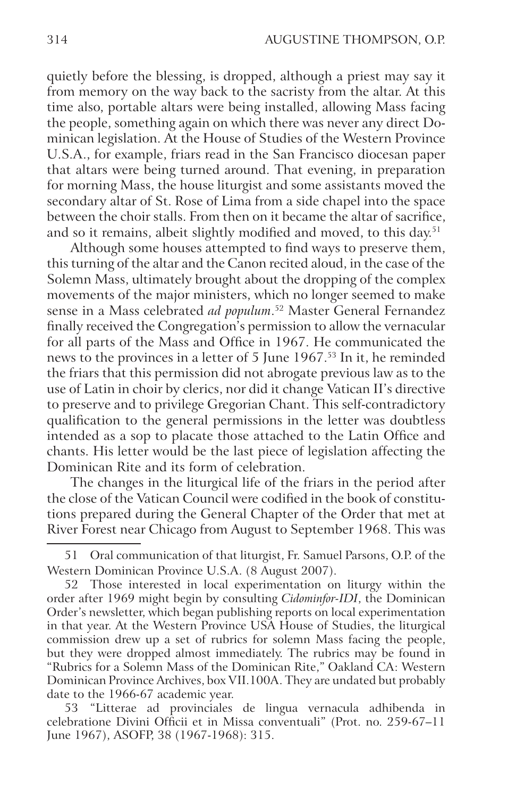quietly before the blessing, is dropped, although a priest may say it from memory on the way back to the sacristy from the altar. At this time also, portable altars were being installed, allowing Mass facing the people, something again on which there was never any direct Dominican legislation. At the House of Studies of the Western Province U.S.A., for example, friars read in the San Francisco diocesan paper that altars were being turned around. That evening, in preparation for morning Mass, the house liturgist and some assistants moved the secondary altar of St. Rose of Lima from a side chapel into the space between the choir stalls. From then on it became the altar of sacrifice, and so it remains, albeit slightly modified and moved, to this day.<sup>51</sup>

Although some houses attempted to find ways to preserve them, this turning of the altar and the Canon recited aloud, in the case of the Solemn Mass, ultimately brought about the dropping of the complex movements of the major ministers, which no longer seemed to make sense in a Mass celebrated *ad populum*. 52 Master General Fernandez finally received the Congregation's permission to allow the vernacular for all parts of the Mass and Office in 1967. He communicated the news to the provinces in a letter of 5 June 1967.53 In it, he reminded the friars that this permission did not abrogate previous law as to the use of Latin in choir by clerics, nor did it change Vatican II's directive to preserve and to privilege Gregorian Chant. This self-contradictory qualification to the general permissions in the letter was doubtless intended as a sop to placate those attached to the Latin Office and chants. His letter would be the last piece of legislation affecting the Dominican Rite and its form of celebration.

The changes in the liturgical life of the friars in the period after the close of the Vatican Council were codified in the book of constitutions prepared during the General Chapter of the Order that met at River Forest near Chicago from August to September 1968. This was

53 "Litterae ad provinciales de lingua vernacula adhibenda in celebratione Divini Officii et in Missa conventuali" (Prot. no. 259-67–11 June 1967), ASOFP, 38 (1967-1968): 315.

<sup>51</sup> Oral communication of that liturgist, Fr. Samuel Parsons, O.P. of the Western Dominican Province U.S.A. (8 August 2007).

<sup>52</sup> Those interested in local experimentation on liturgy within the order after 1969 might begin by consulting *Cidominfor-IDI*, the Dominican Order's newsletter, which began publishing reports on local experimentation in that year. At the Western Province USA House of Studies, the liturgical commission drew up a set of rubrics for solemn Mass facing the people, but they were dropped almost immediately. The rubrics may be found in "Rubrics for a Solemn Mass of the Dominican Rite," Oakland CA: Western Dominican Province Archives, box VII.100A. They are undated but probably date to the 1966-67 academic year.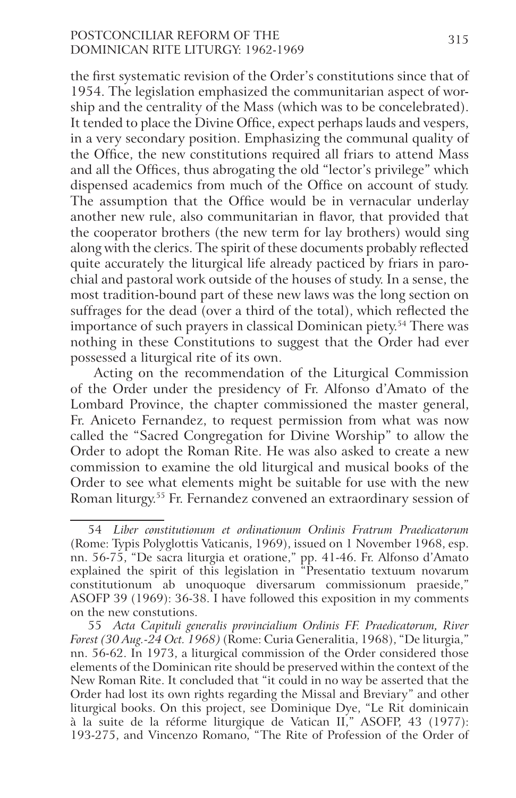# POSTCONCILIAR REFORM OF THE 315 Dominican Rite Liturgy: 1962‑1969

the first systematic revision of the Order's constitutions since that of 1954. The legislation emphasized the communitarian aspect of worship and the centrality of the Mass (which was to be concelebrated). It tended to place the Divine Office, expect perhaps lauds and vespers, in a very secondary position. Emphasizing the communal quality of the Office, the new constitutions required all friars to attend Mass and all the Offices, thus abrogating the old "lector's privilege" which dispensed academics from much of the Office on account of study. The assumption that the Office would be in vernacular underlay another new rule, also communitarian in flavor, that provided that the cooperator brothers (the new term for lay brothers) would sing along with the clerics. The spirit of these documents probably reflected quite accurately the liturgical life already pacticed by friars in parochial and pastoral work outside of the houses of study. In a sense, the most tradition-bound part of these new laws was the long section on suffrages for the dead (over a third of the total), which reflected the importance of such prayers in classical Dominican piety.<sup>54</sup> There was nothing in these Constitutions to suggest that the Order had ever possessed a liturgical rite of its own.

Acting on the recommendation of the Liturgical Commission of the Order under the presidency of Fr. Alfonso d'Amato of the Lombard Province, the chapter commissioned the master general, Fr. Aniceto Fernandez, to request permission from what was now called the "Sacred Congregation for Divine Worship" to allow the Order to adopt the Roman Rite. He was also asked to create a new commission to examine the old liturgical and musical books of the Order to see what elements might be suitable for use with the new Roman liturgy.55 Fr. Fernandez convened an extraordinary session of

<sup>54</sup> *Liber constitutionum et ordinationum Ordinis Fratrum Praedicatorum* (Rome: Typis Polyglottis Vaticanis, 1969), issued on 1 November 1968, esp. nn. 56-75, "De sacra liturgia et oratione," pp. 41-46. Fr. Alfonso d'Amato explained the spirit of this legislation in "Presentatio textuum novarum constitutionum ab unoquoque diversarum commissionum praeside," ASOFP 39 (1969): 36-38. I have followed this exposition in my comments on the new constutions.

<sup>55</sup> *Acta Capituli generalis provincialium Ordinis FF. Praedicatorum, River Forest (30 Aug.-24 Oct. 1968)* (Rome: Curia Generalitia, 1968), "De liturgia," nn. 56-62. In 1973, a liturgical commission of the Order considered those elements of the Dominican rite should be preserved within the context of the New Roman Rite. It concluded that "it could in no way be asserted that the Order had lost its own rights regarding the Missal and Breviary" and other liturgical books. On this project, see Dominique Dye, "Le Rit dominicain à la suite de la réforme liturgique de Vatican II," ASOFP, 43 (1977): 193-275, and Vincenzo Romano, "The Rite of Profession of the Order of